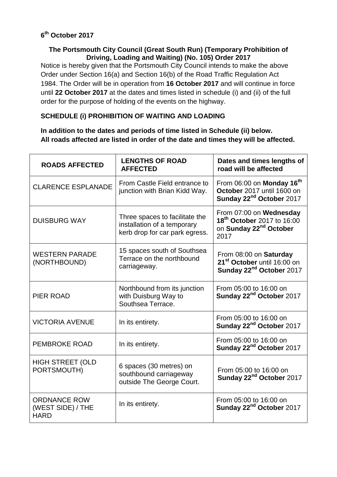## **The Portsmouth City Council (Great South Run) (Temporary Prohibition of Driving, Loading and Waiting) (No. 105) Order 2017**

Notice is hereby given that the Portsmouth City Council intends to make the above Order under Section 16(a) and Section 16(b) of the Road Traffic Regulation Act 1984. The Order will be in operation from **16 October 2017** and will continue in force until **22 October 2017** at the dates and times listed in schedule (i) and (ii) of the full order for the purpose of holding of the events on the highway.

## **SCHEDULE (i) PROHIBITION OF WAITING AND LOADING**

**In addition to the dates and periods of time listed in Schedule (ii) below. All roads affected are listed in order of the date and times they will be affected.**

| <b>ROADS AFFECTED</b>                                   | <b>LENGTHS OF ROAD</b><br><b>AFFECTED</b>                                                       | Dates and times lengths of<br>road will be affected                                                             |
|---------------------------------------------------------|-------------------------------------------------------------------------------------------------|-----------------------------------------------------------------------------------------------------------------|
| <b>CLARENCE ESPLANADE</b>                               | From Castle Field entrance to<br>junction with Brian Kidd Way.                                  | From 06:00 on Monday 16 <sup>th</sup><br>October 2017 until 1600 on<br>Sunday 22 <sup>nd</sup> October 2017     |
| <b>DUISBURG WAY</b>                                     | Three spaces to facilitate the<br>installation of a temporary<br>kerb drop for car park egress. | From 07:00 on Wednesday<br>18 <sup>th</sup> October 2017 to 16:00<br>on Sunday 22 <sup>nd</sup> October<br>2017 |
| <b>WESTERN PARADE</b><br>(NORTHBOUND)                   | 15 spaces south of Southsea<br>Terrace on the northbound<br>carriageway.                        | From 08:00 on Saturday<br>21 <sup>st</sup> October until 16:00 on<br>Sunday 22 <sup>nd</sup> October 2017       |
| <b>PIER ROAD</b>                                        | Northbound from its junction<br>with Duisburg Way to<br>Southsea Terrace.                       | From 05:00 to 16:00 on<br>Sunday 22 <sup>nd</sup> October 2017                                                  |
| <b>VICTORIA AVENUE</b>                                  | In its entirety.                                                                                | From 05:00 to 16:00 on<br>Sunday 22 <sup>nd</sup> October 2017                                                  |
| PEMBROKE ROAD                                           | In its entirety.                                                                                | From 05:00 to 16:00 on<br>Sunday 22 <sup>nd</sup> October 2017                                                  |
| <b>HIGH STREET (OLD</b><br>PORTSMOUTH)                  | 6 spaces (30 metres) on<br>southbound carriageway<br>outside The George Court.                  | From 05:00 to 16:00 on<br>Sunday 22 <sup>nd</sup> October 2017                                                  |
| <b>ORDNANCE ROW</b><br>(WEST SIDE) / THE<br><b>HARD</b> | In its entirety.                                                                                | From 05:00 to 16:00 on<br>Sunday 22 <sup>nd</sup> October 2017                                                  |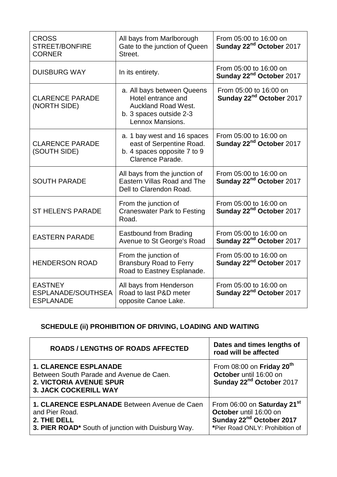| <b>CROSS</b><br>STREET/BONFIRE<br><b>CORNER</b>          | All bays from Marlborough<br>Gate to the junction of Queen<br>Street.                                                         | From 05:00 to 16:00 on<br>Sunday 22 <sup>nd</sup> October 2017 |
|----------------------------------------------------------|-------------------------------------------------------------------------------------------------------------------------------|----------------------------------------------------------------|
| <b>DUISBURG WAY</b>                                      | In its entirety.                                                                                                              | From 05:00 to 16:00 on<br>Sunday 22 <sup>nd</sup> October 2017 |
| <b>CLARENCE PARADE</b><br>(NORTH SIDE)                   | a. All bays between Queens<br>Hotel entrance and<br><b>Auckland Road West.</b><br>b. 3 spaces outside 2-3<br>Lennox Mansions. | From 05:00 to 16:00 on<br>Sunday 22 <sup>nd</sup> October 2017 |
| <b>CLARENCE PARADE</b><br>(SOUTH SIDE)                   | a. 1 bay west and 16 spaces<br>east of Serpentine Road.<br>b. 4 spaces opposite 7 to 9<br>Clarence Parade.                    | From 05:00 to 16:00 on<br>Sunday 22 <sup>nd</sup> October 2017 |
| <b>SOUTH PARADE</b>                                      | All bays from the junction of<br>Eastern Villas Road and The<br>Dell to Clarendon Road.                                       | From 05:00 to 16:00 on<br>Sunday 22 <sup>nd</sup> October 2017 |
| <b>ST HELEN'S PARADE</b>                                 | From the junction of<br><b>Craneswater Park to Festing</b><br>Road.                                                           | From 05:00 to 16:00 on<br>Sunday 22 <sup>nd</sup> October 2017 |
| <b>EASTERN PARADE</b>                                    | <b>Eastbound from Brading</b><br>Avenue to St George's Road                                                                   | From 05:00 to 16:00 on<br>Sunday 22 <sup>nd</sup> October 2017 |
| <b>HENDERSON ROAD</b>                                    | From the junction of<br><b>Bransbury Road to Ferry</b><br>Road to Eastney Esplanade.                                          | From 05:00 to 16:00 on<br>Sunday 22 <sup>nd</sup> October 2017 |
| <b>EASTNEY</b><br>ESPLANADE/SOUTHSEA<br><b>ESPLANADE</b> | All bays from Henderson<br>Road to last P&D meter<br>opposite Canoe Lake.                                                     | From 05:00 to 16:00 on<br>Sunday 22 <sup>nd</sup> October 2017 |

## **SCHEDULE (ii) PROHIBITION OF DRIVING, LOADING AND WAITING**

| <b>ROADS / LENGTHS OF ROADS AFFECTED</b>                                                                                                   | Dates and times lengths of<br>road will be affected                                                                                          |  |
|--------------------------------------------------------------------------------------------------------------------------------------------|----------------------------------------------------------------------------------------------------------------------------------------------|--|
| <b>1. CLARENCE ESPLANADE</b><br>Between South Parade and Avenue de Caen.<br><b>2. VICTORIA AVENUE SPUR</b><br><b>3. JACK COCKERILL WAY</b> | From 08:00 on Friday 20 <sup>th</sup><br>October until 16:00 on<br>Sunday 22 <sup>nd</sup> October 2017                                      |  |
| 1. CLARENCE ESPLANADE Between Avenue de Caen<br>and Pier Road.<br>2. THE DELL<br>3. PIER ROAD* South of junction with Duisburg Way.        | From 06:00 on Saturday 21 <sup>st</sup><br>October until 16:00 on<br>Sunday 22 <sup>nd</sup> October 2017<br>*Pier Road ONLY: Prohibition of |  |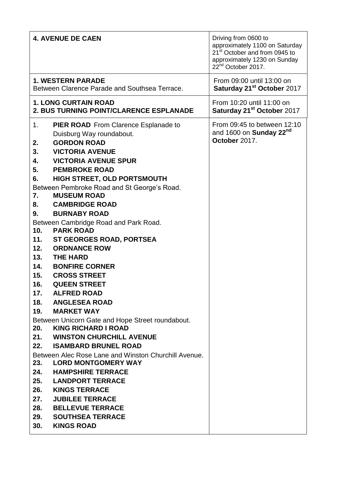| <b>4. AVENUE DE CAEN</b>                                                                                                                                                                                                                                                                                                                                                                                                                                                                                                                                                                                                                                                                                                                                                                                                                                                                                                                                                                                                                                                                                                                                                                                    | Driving from 0600 to<br>approximately 1100 on Saturday<br>21 <sup>st</sup> October and from 0945 to<br>approximately 1230 on Sunday<br>22 <sup>nd</sup> October 2017. |
|-------------------------------------------------------------------------------------------------------------------------------------------------------------------------------------------------------------------------------------------------------------------------------------------------------------------------------------------------------------------------------------------------------------------------------------------------------------------------------------------------------------------------------------------------------------------------------------------------------------------------------------------------------------------------------------------------------------------------------------------------------------------------------------------------------------------------------------------------------------------------------------------------------------------------------------------------------------------------------------------------------------------------------------------------------------------------------------------------------------------------------------------------------------------------------------------------------------|-----------------------------------------------------------------------------------------------------------------------------------------------------------------------|
| <b>1. WESTERN PARADE</b>                                                                                                                                                                                                                                                                                                                                                                                                                                                                                                                                                                                                                                                                                                                                                                                                                                                                                                                                                                                                                                                                                                                                                                                    | From 09:00 until 13:00 on                                                                                                                                             |
| Between Clarence Parade and Southsea Terrace.                                                                                                                                                                                                                                                                                                                                                                                                                                                                                                                                                                                                                                                                                                                                                                                                                                                                                                                                                                                                                                                                                                                                                               | Saturday 21 <sup>st</sup> October 2017                                                                                                                                |
| <b>1. LONG CURTAIN ROAD</b>                                                                                                                                                                                                                                                                                                                                                                                                                                                                                                                                                                                                                                                                                                                                                                                                                                                                                                                                                                                                                                                                                                                                                                                 | From 10:20 until 11:00 on                                                                                                                                             |
| <b>2. BUS TURNING POINT/CLARENCE ESPLANADE</b>                                                                                                                                                                                                                                                                                                                                                                                                                                                                                                                                                                                                                                                                                                                                                                                                                                                                                                                                                                                                                                                                                                                                                              | Saturday 21 <sup>st</sup> October 2017                                                                                                                                |
| 1.<br><b>PIER ROAD</b> From Clarence Esplanade to<br>Duisburg Way roundabout.<br><b>GORDON ROAD</b><br>2.<br>3.<br><b>VICTORIA AVENUE</b><br>4.<br><b>VICTORIA AVENUE SPUR</b><br><b>PEMBROKE ROAD</b><br>5.<br>HIGH STREET, OLD PORTSMOUTH<br>6.<br>Between Pembroke Road and St George's Road.<br><b>MUSEUM ROAD</b><br>7.<br><b>CAMBRIDGE ROAD</b><br>8.<br><b>BURNABY ROAD</b><br>9.<br>Between Cambridge Road and Park Road.<br>10.<br><b>PARK ROAD</b><br>11.<br><b>ST GEORGES ROAD, PORTSEA</b><br><b>ORDNANCE ROW</b><br>12.<br>13.<br><b>THE HARD</b><br><b>BONFIRE CORNER</b><br>14.<br><b>CROSS STREET</b><br>15.<br><b>QUEEN STREET</b><br>16.<br>17. ALFRED ROAD<br>18. ANGLESEA ROAD<br><b>MARKET WAY</b><br>19.<br>Between Unicorn Gate and Hope Street roundabout.<br><b>KING RICHARD I ROAD</b><br>20.<br>21. WINSTON CHURCHILL AVENUE<br>22. ISAMBARD BRUNEL ROAD<br>Between Alec Rose Lane and Winston Churchill Avenue.<br>23.<br><b>LORD MONTGOMERY WAY</b><br>24. HAMPSHIRE TERRACE<br><b>LANDPORT TERRACE</b><br>25.<br><b>KINGS TERRACE</b><br>26.<br><b>JUBILEE TERRACE</b><br>27.<br><b>BELLEVUE TERRACE</b><br>28.<br><b>SOUTHSEA TERRACE</b><br>29.<br><b>KINGS ROAD</b><br>30. | From 09:45 to between 12:10<br>and 1600 on Sunday 22 <sup>nd</sup><br>October 2017.                                                                                   |